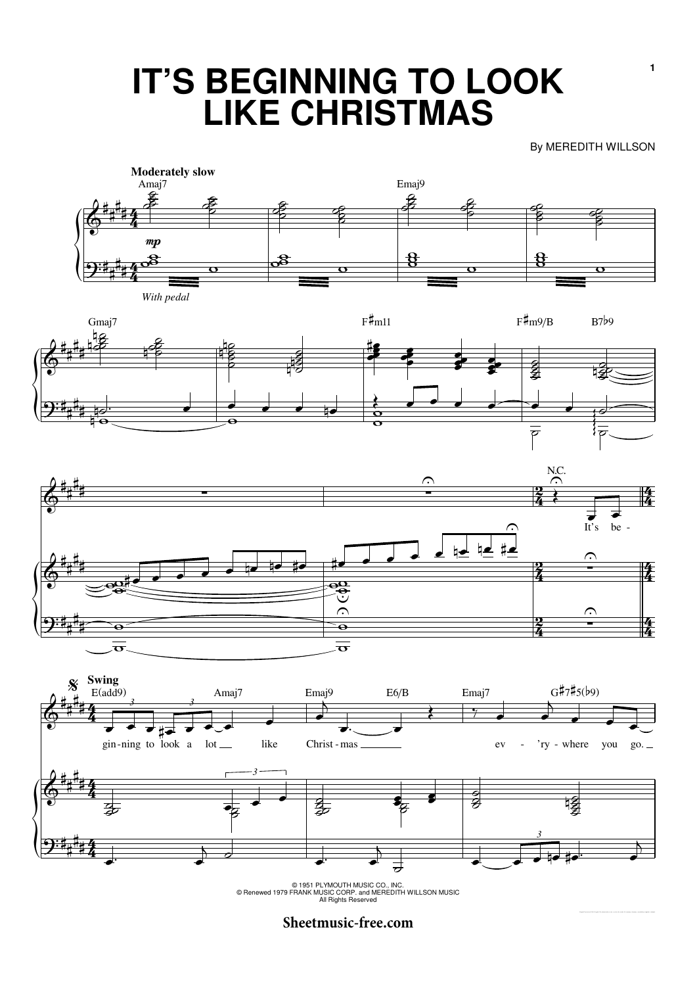## **IT'S BEGINNING TO LOOK LIKE CHRISTMAS**

By MEREDITH WILLSON

**1**



 $\left\{\begin{matrix} 1\\ 1\\ 1\\ 1\\ 1\end{matrix}\right\}$  $\delta^*$ H<br>H H<br>H E q pR= pR=
2  $\mathbf{\mathfrak{R}}^{11}$ # E !! GGGGGG ,,,,,,<br>18  $\frac{12}{5}$  $\frac{48}{9}$  $\frac{2}{5}$  $\overline{6}$ **BBB** b<br>D 4 !<br>! B g g  $\frac{1}{2}$ !<br>! |<br>| 55  $\frac{1}{2}$  $\mathbf{B}$   $\mathbf{B}$ 55  $\frac{5}{3}$  $\frac{1}{3}$ **5**<br>5<br>5 g g  $\overline{\varepsilon}$ B  $\frac{1}{2}$ !<br>!  $\frac{1}{\phi}$ :  $\begin{array}{ccc} \circ & & \bullet & \bullet \\ \circ & & \bullet & \bullet \end{array}$  $\frac{1}{2}$   $\frac{1}{2}$   $\frac{1}{2}$   $\frac{1}{2}$  $\mathbf o$  $\frac{1}{2}$   $\frac{1}{2}$   $\frac{1}{2}$   $\frac{1}{2}$  $\overline{\overline{\rho}}$  $\overline{\phantom{a}}$  $\overline{\rho}$  $\overline{\phantom{a}}$ 





© 1951 PLYMOUTH MUSIC CO., INC.<br>© Renewed 1979 FRANK MUSIC CORP. and MEREDITH WILLSON MUSIC ®<br>All Rights Reserved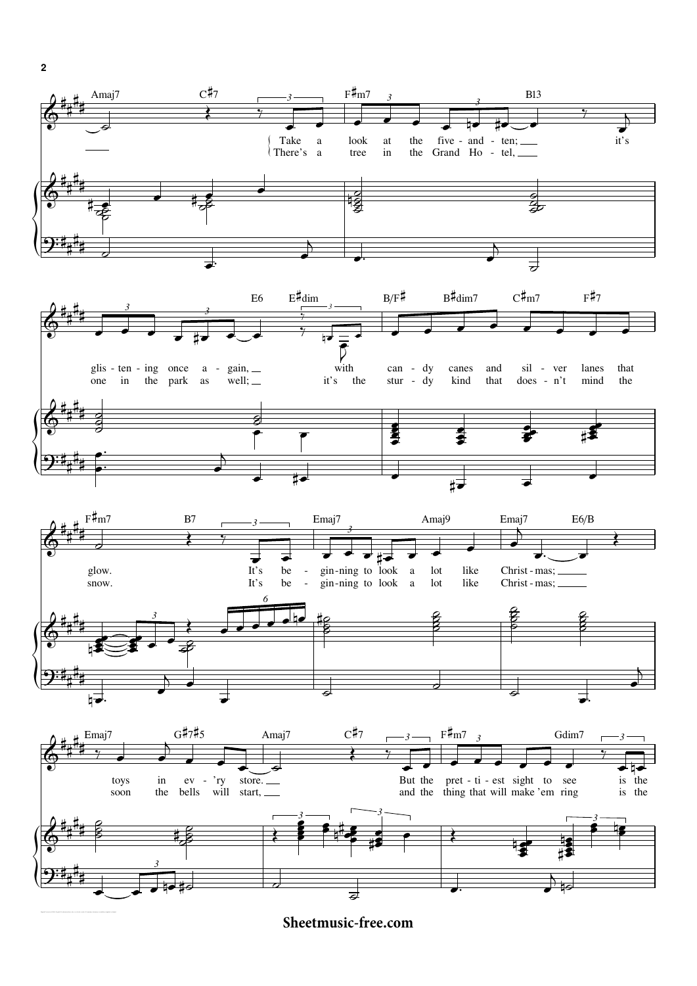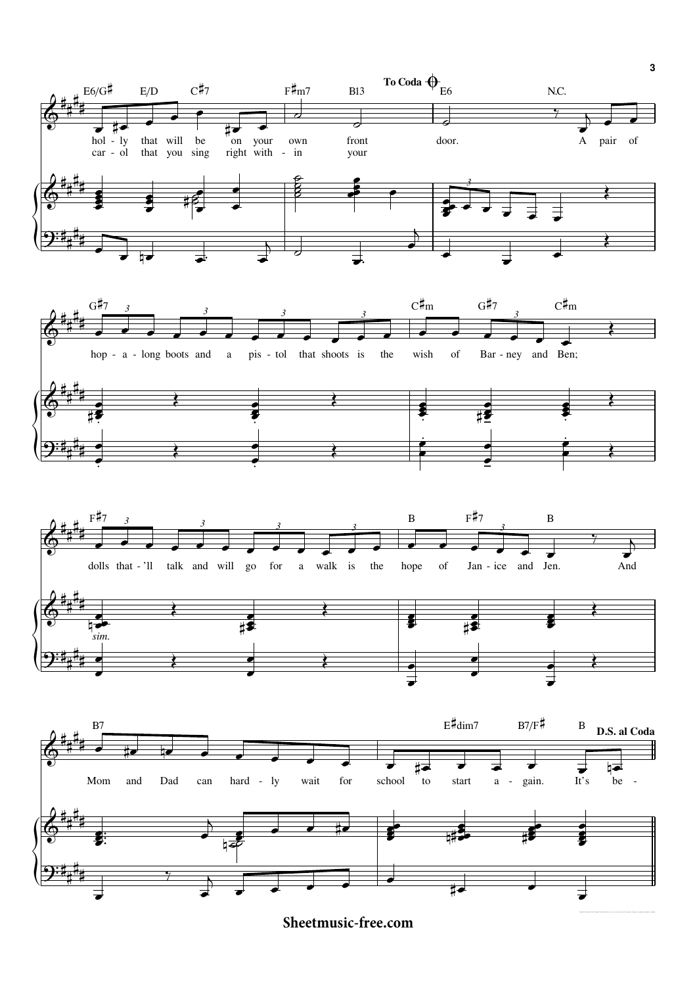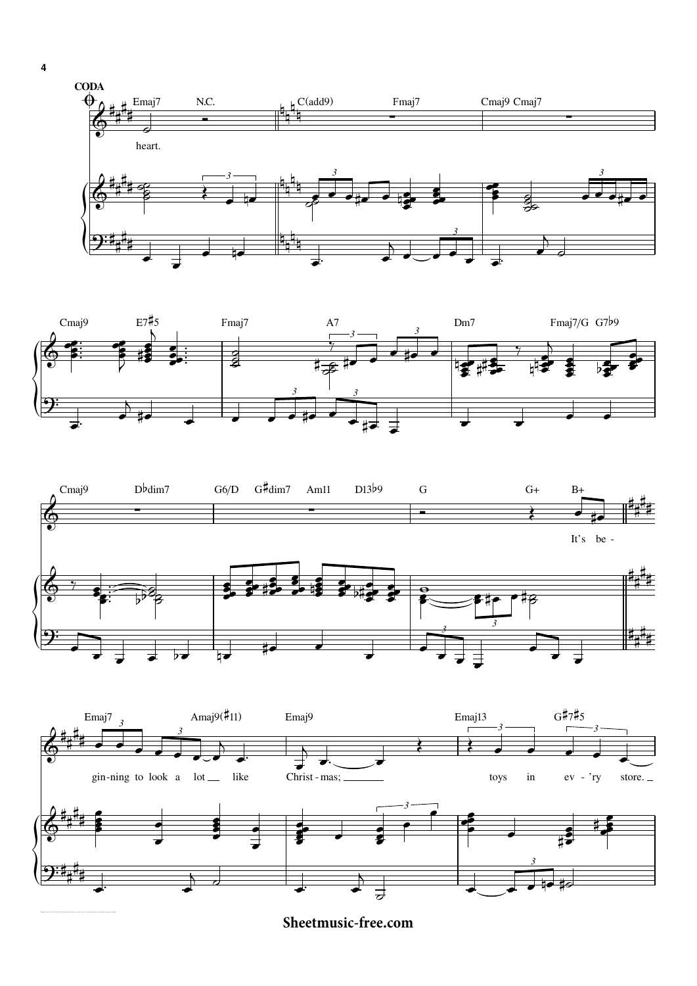







**Sheetmusic-free.com**